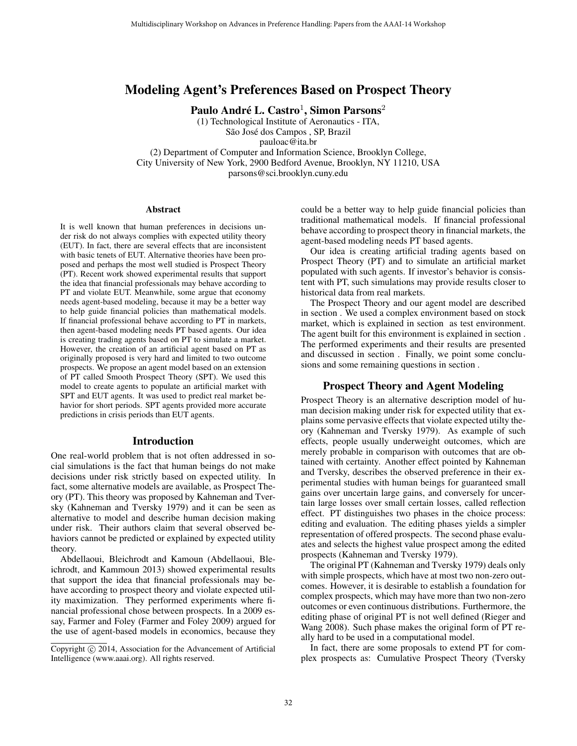## Modeling Agent's Preferences Based on Prospect Theory

Paulo André L. Castro $^1$ , Simon Parsons $^2$ 

(1) Technological Institute of Aeronautics - ITA, São José dos Campos, SP, Brazil pauloac@ita.br

(2) Department of Computer and Information Science, Brooklyn College, City University of New York, 2900 Bedford Avenue, Brooklyn, NY 11210, USA parsons@sci.brooklyn.cuny.edu

#### Abstract

It is well known that human preferences in decisions under risk do not always complies with expected utility theory (EUT). In fact, there are several effects that are inconsistent with basic tenets of EUT. Alternative theories have been proposed and perhaps the most well studied is Prospect Theory (PT). Recent work showed experimental results that support the idea that financial professionals may behave according to PT and violate EUT. Meanwhile, some argue that economy needs agent-based modeling, because it may be a better way to help guide financial policies than mathematical models. If financial professional behave according to PT in markets, then agent-based modeling needs PT based agents. Our idea is creating trading agents based on PT to simulate a market. However, the creation of an artificial agent based on PT as originally proposed is very hard and limited to two outcome prospects. We propose an agent model based on an extension of PT called Smooth Prospect Theory (SPT). We used this model to create agents to populate an artificial market with SPT and EUT agents. It was used to predict real market behavior for short periods. SPT agents provided more accurate predictions in crisis periods than EUT agents.

### Introduction

One real-world problem that is not often addressed in social simulations is the fact that human beings do not make decisions under risk strictly based on expected utility. In fact, some alternative models are available, as Prospect Theory (PT). This theory was proposed by Kahneman and Tversky (Kahneman and Tversky 1979) and it can be seen as alternative to model and describe human decision making under risk. Their authors claim that several observed behaviors cannot be predicted or explained by expected utility theory.

Abdellaoui, Bleichrodt and Kamoun (Abdellaoui, Bleichrodt, and Kammoun 2013) showed experimental results that support the idea that financial professionals may behave according to prospect theory and violate expected utility maximization. They performed experiments where financial professional chose between prospects. In a 2009 essay, Farmer and Foley (Farmer and Foley 2009) argued for the use of agent-based models in economics, because they could be a better way to help guide financial policies than traditional mathematical models. If financial professional behave according to prospect theory in financial markets, the agent-based modeling needs PT based agents.

Our idea is creating artificial trading agents based on Prospect Theory (PT) and to simulate an artificial market populated with such agents. If investor's behavior is consistent with PT, such simulations may provide results closer to historical data from real markets.

The Prospect Theory and our agent model are described in section . We used a complex environment based on stock market, which is explained in section as test environment. The agent built for this environment is explained in section . The performed experiments and their results are presented and discussed in section . Finally, we point some conclusions and some remaining questions in section .

### Prospect Theory and Agent Modeling

Prospect Theory is an alternative description model of human decision making under risk for expected utility that explains some pervasive effects that violate expected utilty theory (Kahneman and Tversky 1979). As example of such effects, people usually underweight outcomes, which are merely probable in comparison with outcomes that are obtained with certainty. Another effect pointed by Kahneman and Tversky, describes the observed preference in their experimental studies with human beings for guaranteed small gains over uncertain large gains, and conversely for uncertain large losses over small certain losses, called reflection effect. PT distinguishes two phases in the choice process: editing and evaluation. The editing phases yields a simpler representation of offered prospects. The second phase evaluates and selects the highest value prospect among the edited prospects (Kahneman and Tversky 1979).

The original PT (Kahneman and Tversky 1979) deals only with simple prospects, which have at most two non-zero outcomes. However, it is desirable to establish a foundation for complex prospects, which may have more than two non-zero outcomes or even continuous distributions. Furthermore, the editing phase of original PT is not well defined (Rieger and Wang 2008). Such phase makes the original form of PT really hard to be used in a computational model.

In fact, there are some proposals to extend PT for complex prospects as: Cumulative Prospect Theory (Tversky

Copyright © 2014, Association for the Advancement of Artificial Intelligence (www.aaai.org). All rights reserved.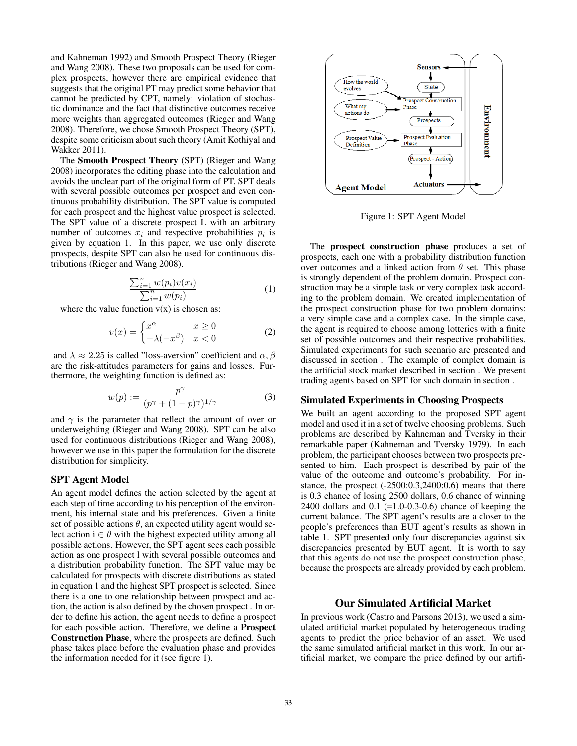and Kahneman 1992) and Smooth Prospect Theory (Rieger and Wang 2008). These two proposals can be used for complex prospects, however there are empirical evidence that suggests that the original PT may predict some behavior that cannot be predicted by CPT, namely: violation of stochastic dominance and the fact that distinctive outcomes receive more weights than aggregated outcomes (Rieger and Wang 2008). Therefore, we chose Smooth Prospect Theory (SPT), despite some criticism about such theory (Amit Kothiyal and Wakker 2011).

The Smooth Prospect Theory (SPT) (Rieger and Wang 2008) incorporates the editing phase into the calculation and avoids the unclear part of the original form of PT. SPT deals with several possible outcomes per prospect and even continuous probability distribution. The SPT value is computed for each prospect and the highest value prospect is selected. The SPT value of a discrete prospect L with an arbitrary number of outcomes  $x_i$  and respective probabilities  $p_i$  is given by equation 1. In this paper, we use only discrete prospects, despite SPT can also be used for continuous distributions (Rieger and Wang 2008).

$$
\frac{\sum_{i=1}^{n} w(p_i)v(x_i)}{\sum_{i=1}^{n} w(p_i)}\tag{1}
$$

where the value function  $v(x)$  is chosen as:

$$
v(x) = \begin{cases} x^{\alpha} & x \ge 0 \\ -\lambda(-x^{\beta}) & x < 0 \end{cases}
$$
 (2)

and  $\lambda \approx 2.25$  is called "loss-aversion" coefficient and  $\alpha$ ,  $\beta$ are the risk-attitudes parameters for gains and losses. Furthermore, the weighting function is defined as:

$$
w(p) := \frac{p^{\gamma}}{(p^{\gamma} + (1 - p)^{\gamma})^{1/\gamma}}
$$
 (3)

and  $\gamma$  is the parameter that reflect the amount of over or underweighting (Rieger and Wang 2008). SPT can be also used for continuous distributions (Rieger and Wang 2008), however we use in this paper the formulation for the discrete distribution for simplicity.

## SPT Agent Model

An agent model defines the action selected by the agent at each step of time according to his perception of the environment, his internal state and his preferences. Given a finite set of possible actions  $\theta$ , an expected utility agent would select action  $i \in \theta$  with the highest expected utility among all possible actions. However, the SPT agent sees each possible action as one prospect l with several possible outcomes and a distribution probability function. The SPT value may be calculated for prospects with discrete distributions as stated in equation 1 and the highest SPT prospect is selected. Since there is a one to one relationship between prospect and action, the action is also defined by the chosen prospect . In order to define his action, the agent needs to define a prospect for each possible action. Therefore, we define a Prospect Construction Phase, where the prospects are defined. Such phase takes place before the evaluation phase and provides the information needed for it (see figure 1).



Figure 1: SPT Agent Model

The prospect construction phase produces a set of prospects, each one with a probability distribution function over outcomes and a linked action from  $\theta$  set. This phase is strongly dependent of the problem domain. Prospect construction may be a simple task or very complex task according to the problem domain. We created implementation of the prospect construction phase for two problem domains: a very simple case and a complex case. In the simple case, the agent is required to choose among lotteries with a finite set of possible outcomes and their respective probabilities. Simulated experiments for such scenario are presented and discussed in section . The example of complex domain is the artificial stock market described in section . We present trading agents based on SPT for such domain in section .

#### Simulated Experiments in Choosing Prospects

We built an agent according to the proposed SPT agent model and used it in a set of twelve choosing problems. Such problems are described by Kahneman and Tversky in their remarkable paper (Kahneman and Tversky 1979). In each problem, the participant chooses between two prospects presented to him. Each prospect is described by pair of the value of the outcome and outcome's probability. For instance, the prospect (-2500:0.3,2400:0.6) means that there is 0.3 chance of losing 2500 dollars, 0.6 chance of winning 2400 dollars and 0.1 (=1.0-0.3-0.6) chance of keeping the current balance. The SPT agent's results are a closer to the people's preferences than EUT agent's results as shown in table 1. SPT presented only four discrepancies against six discrepancies presented by EUT agent. It is worth to say that this agents do not use the prospect construction phase, because the prospects are already provided by each problem.

## Our Simulated Artificial Market

In previous work (Castro and Parsons 2013), we used a simulated artificial market populated by heterogeneous trading agents to predict the price behavior of an asset. We used the same simulated artificial market in this work. In our artificial market, we compare the price defined by our artifi-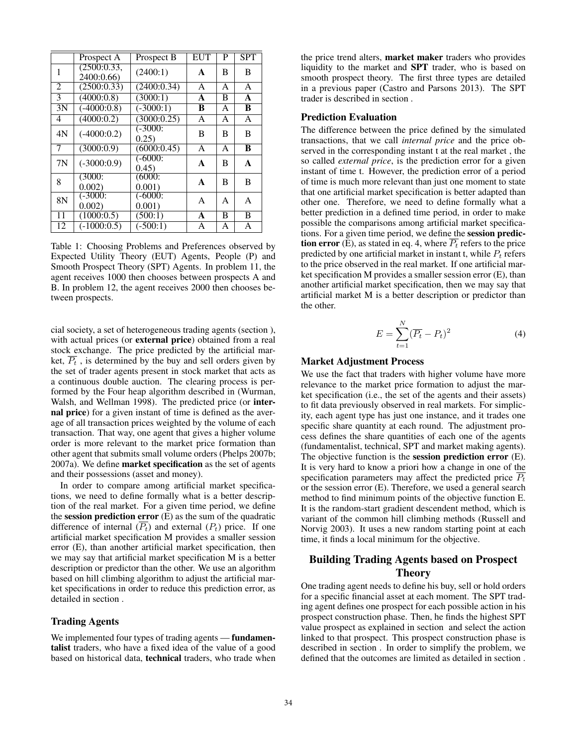|    | Prospect A                | Prospect B          | <b>EUT</b> | P | <b>SPT</b> |
|----|---------------------------|---------------------|------------|---|------------|
| 1  | (2500:0.33,<br>2400:0.66) | (2400:1)            | A          | B | B          |
| 2  | (2500:0.33)               | (2400:0.34)         | A          | A | A          |
| 3  | (4000:0.8)                | (3000:1)            | A          | В | A          |
| 3N | $(-4000:0.8)$             | $(-3000:1)$         | B          | A | B          |
| 4  | $\overline{(4000:0.2)}$   | (3000:0.25)         | A          | A | A          |
| 4N | $(-4000:0.2)$             | $(-3000)$<br>0.25)  | B          | B | B          |
| 7  | (3000:0.9)                | (6000:0.45)         | A          | A | B          |
| 7N | $(-3000:0.9)$             | $(-6000)$<br>(0.45) | A          | B | A          |
| 8  | (3000)<br>0.002           | (6000)<br>0.001     | A          | B | B          |
| 8N | $(-3000)$<br>0.002        | $(-6000)$<br>0.001  | A          | A | A          |
| 11 | (1000:0.5)                | (500:1)             | A          | B | B          |
| 12 | $(-1000:0.5)$             | $(-500:1)$          | A          | A | A          |

Table 1: Choosing Problems and Preferences observed by Expected Utility Theory (EUT) Agents, People (P) and Smooth Prospect Theory (SPT) Agents. In problem 11, the agent receives 1000 then chooses between prospects A and B. In problem 12, the agent receives 2000 then chooses between prospects.

cial society, a set of heterogeneous trading agents (section ), with actual prices (or **external price**) obtained from a real stock exchange. The price predicted by the artificial market,  $\overline{P_t}$ , is determined by the buy and sell orders given by the set of trader agents present in stock market that acts as a continuous double auction. The clearing process is performed by the Four heap algorithm described in (Wurman, Walsh, and Wellman 1998). The predicted price (or internal price) for a given instant of time is defined as the average of all transaction prices weighted by the volume of each transaction. That way, one agent that gives a higher volume order is more relevant to the market price formation than other agent that submits small volume orders (Phelps 2007b; 2007a). We define market specification as the set of agents and their possessions (asset and money).

In order to compare among artificial market specifications, we need to define formally what is a better description of the real market. For a given time period, we define the session prediction error  $(E)$  as the sum of the quadratic difference of internal  $(\overline{P_t})$  and external  $(P_t)$  price. If one artificial market specification M provides a smaller session error (E), than another artificial market specification, then we may say that artificial market specification M is a better description or predictor than the other. We use an algorithm based on hill climbing algorithm to adjust the artificial market specifications in order to reduce this prediction error, as detailed in section .

## Trading Agents

We implemented four types of trading agents — **fundamen**talist traders, who have a fixed idea of the value of a good based on historical data, technical traders, who trade when

the price trend alters, market maker traders who provides liquidity to the market and SPT trader, who is based on smooth prospect theory. The first three types are detailed in a previous paper (Castro and Parsons 2013). The SPT trader is described in section .

### Prediction Evaluation

The difference between the price defined by the simulated transactions, that we call *internal price* and the price observed in the corresponding instant t at the real market , the so called *external price*, is the prediction error for a given instant of time t. However, the prediction error of a period of time is much more relevant than just one moment to state that one artificial market specification is better adapted than other one. Therefore, we need to define formally what a better prediction in a defined time period, in order to make possible the comparisons among artificial market specifications. For a given time period, we define the session prediction error (E), as stated in eq. 4, where  $\overline{P_t}$  refers to the price predicted by one artificial market in instant t, while  $P_t$  refers to the price observed in the real market. If one artificial market specification M provides a smaller session error (E), than another artificial market specification, then we may say that artificial market M is a better description or predictor than the other.

$$
E = \sum_{t=1}^{N} (\overline{P_t} - P_t)^2
$$
\n(4)

### Market Adjustment Process

We use the fact that traders with higher volume have more relevance to the market price formation to adjust the market specification (i.e., the set of the agents and their assets) to fit data previously observed in real markets. For simplicity, each agent type has just one instance, and it trades one specific share quantity at each round. The adjustment process defines the share quantities of each one of the agents (fundamentalist, technical, SPT and market making agents). The objective function is the session prediction error (E). It is very hard to know a priori how a change in one of the specification parameters may affect the predicted price  $\overline{P_t}$ or the session error (E). Therefore, we used a general search method to find minimum points of the objective function E. It is the random-start gradient descendent method, which is variant of the common hill climbing methods (Russell and Norvig 2003). It uses a new random starting point at each time, it finds a local minimum for the objective.

# Building Trading Agents based on Prospect **Theory**

One trading agent needs to define his buy, sell or hold orders for a specific financial asset at each moment. The SPT trading agent defines one prospect for each possible action in his prospect construction phase. Then, he finds the highest SPT value prospect as explained in section and select the action linked to that prospect. This prospect construction phase is described in section . In order to simplify the problem, we defined that the outcomes are limited as detailed in section .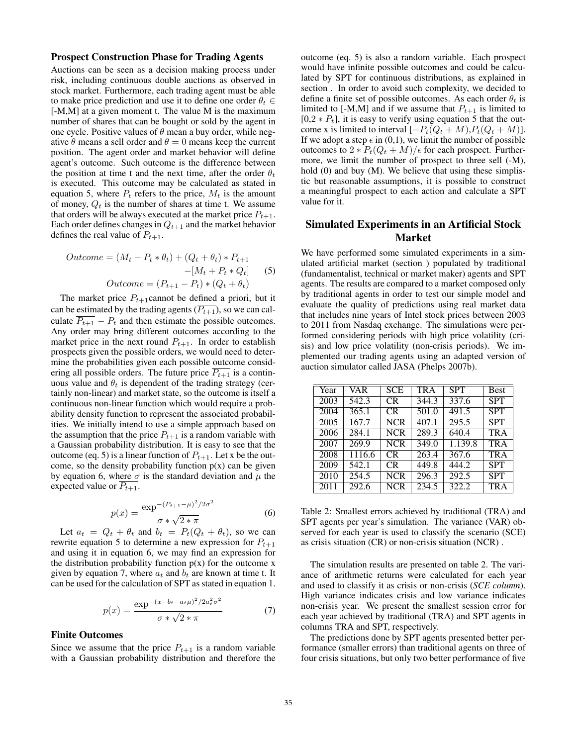### Prospect Construction Phase for Trading Agents

Auctions can be seen as a decision making process under risk, including continuous double auctions as observed in stock market. Furthermore, each trading agent must be able to make price prediction and use it to define one order  $\theta_t \in$ [-M,M] at a given moment t. The value M is the maximum number of shares that can be bought or sold by the agent in one cycle. Positive values of  $\theta$  mean a buy order, while negative  $\theta$  means a sell order and  $\theta = 0$  means keep the current position. The agent order and market behavior will define agent's outcome. Such outcome is the difference between the position at time t and the next time, after the order  $\theta_t$ is executed. This outcome may be calculated as stated in equation 5, where  $P_t$  refers to the price,  $M_t$  is the amount of money,  $Q_t$  is the number of shares at time t. We assume that orders will be always executed at the market price  $P_{t+1}$ . Each order defines changes in  $Q_{t+1}$  and the market behavior defines the real value of  $P_{t+1}$ .

$$
Outcome = (M_t - P_t * \theta_t) + (Q_t + \theta_t) * P_{t+1}
$$

$$
-[M_t + P_t * Q_t]
$$
(5)  
Outcome = (P\_{t+1} - P\_t) \* (Q\_t + \theta\_t)

The market price  $P_{t+1}$ cannot be defined a priori, but it can be estimated by the trading agents  $(P_{t+1})$ , so we can calculate  $\overline{P_{t+1}} - P_t$  and then estimate the possible outcomes. Any order may bring different outcomes according to the market price in the next round  $P_{t+1}$ . In order to establish prospects given the possible orders, we would need to determine the probabilities given each possible outcome considering all possible orders. The future price  $\overline{P_{t+1}}$  is a continuous value and  $\theta_t$  is dependent of the trading strategy (certainly non-linear) and market state, so the outcome is itself a continuous non-linear function which would require a probability density function to represent the associated probabilities. We initially intend to use a simple approach based on the assumption that the price  $P_{t+1}$  is a random variable with a Gaussian probability distribution. It is easy to see that the outcome (eq. 5) is a linear function of  $P_{t+1}$ . Let x be the outcome, so the density probability function  $p(x)$  can be given by equation 6, where  $\sigma$  is the standard deviation and  $\mu$  the expected value or  $\overline{P_{t+1}}$ .

$$
p(x) = \frac{\exp^{-(P_{t+1} - \mu)^2/2\sigma^2}}{\sigma * \sqrt{2 * \pi}}
$$
 (6)

Let  $a_t = Q_t + \theta_t$  and  $b_t = P_t(Q_t + \theta_t)$ , so we can rewrite equation 5 to determine a new expression for  $P_{t+1}$ and using it in equation 6, we may find an expression for the distribution probability function  $p(x)$  for the outcome x given by equation 7, where  $a_t$  and  $b_t$  are known at time t. It can be used for the calculation of SPT as stated in equation 1.

$$
p(x) = \frac{\exp^{-(x - b_t - a_t \mu)^2 / 2a_t^2 \sigma^2}}{\sigma * \sqrt{2 * \pi}}
$$
 (7)

#### Finite Outcomes

Since we assume that the price  $P_{t+1}$  is a random variable with a Gaussian probability distribution and therefore the

outcome (eq. 5) is also a random variable. Each prospect would have infinite possible outcomes and could be calculated by SPT for continuous distributions, as explained in section . In order to avoid such complexity, we decided to define a finite set of possible outcomes. As each order  $\theta_t$  is limited to [-M,M] and if we assume that  $P_{t+1}$  is limited to  $[0,2 * P_t]$ , it is easy to verify using equation 5 that the outcome x is limited to interval  $[-P_t(Q_t + M), P_t(Q_t + M)].$ If we adopt a step  $\epsilon$  in (0,1), we limit the number of possible outcomes to  $2 * P_t(Q_t + M)/\epsilon$  for each prospect. Furthermore, we limit the number of prospect to three sell (-M), hold (0) and buy (M). We believe that using these simplistic but reasonable assumptions, it is possible to construct a meaningful prospect to each action and calculate a SPT value for it.

## Simulated Experiments in an Artificial Stock Market

We have performed some simulated experiments in a simulated artificial market (section ) populated by traditional (fundamentalist, technical or market maker) agents and SPT agents. The results are compared to a market composed only by traditional agents in order to test our simple model and evaluate the quality of predictions using real market data that includes nine years of Intel stock prices between 2003 to 2011 from Nasdaq exchange. The simulations were performed considering periods with high price volatility (crisis) and low price volatility (non-crisis periods). We implemented our trading agents using an adapted version of auction simulator called JASA (Phelps 2007b).

| Year | <b>VAR</b> | <b>SCE</b>              | TR A  | <b>SPT</b> | <b>Best</b> |
|------|------------|-------------------------|-------|------------|-------------|
| 2003 | 542.3      | CR                      | 344.3 | 337.6      | <b>SPT</b>  |
| 2004 | 365.1      | <b>CR</b>               | 501.0 | 491.5      | <b>SPT</b>  |
| 2005 | 167.7      | <b>NCR</b>              | 407.1 | 295.5      | <b>SPT</b>  |
| 2006 | 284.1      | <b>NCR</b>              | 289.3 | 640.4      | <b>TRA</b>  |
| 2007 | 269.9      | $\overline{\text{NCR}}$ | 349.0 | 1.139.8    | <b>TRA</b>  |
| 2008 | 1116.6     | CR.                     | 263.4 | 367.6      | <b>TRA</b>  |
| 2009 | 542.1      | CR.                     | 449.8 | 444.2      | <b>SPT</b>  |
| 2010 | 254.5      | <b>NCR</b>              | 296.3 | 292.5      | <b>SPT</b>  |
| 2011 | 292.6      | <b>NCR</b>              | 234.5 | 322.2      | <b>TRA</b>  |

Table 2: Smallest errors achieved by traditional (TRA) and SPT agents per year's simulation. The variance (VAR) observed for each year is used to classify the scenario (SCE) as crisis situation (CR) or non-crisis situation (NCR) .

The simulation results are presented on table 2. The variance of arithmetic returns were calculated for each year and used to classify it as crisis or non-crisis (*SCE column*). High variance indicates crisis and low variance indicates non-crisis year. We present the smallest session error for each year achieved by traditional (TRA) and SPT agents in columns TRA and SPT, respectively.

The predictions done by SPT agents presented better performance (smaller errors) than traditional agents on three of four crisis situations, but only two better performance of five